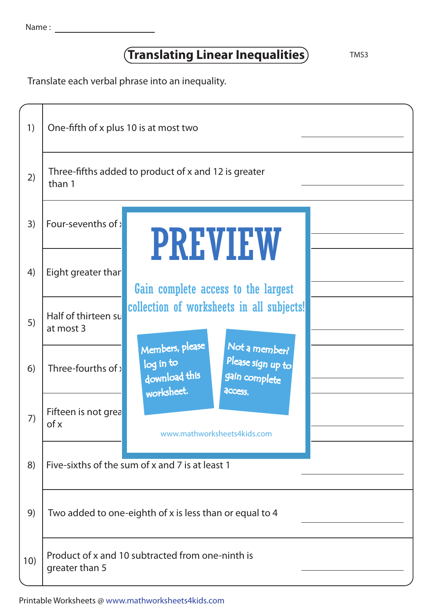Name :

## **Translating Linear Inequalities** TMS3

Translate each verbal phrase into an inequality.